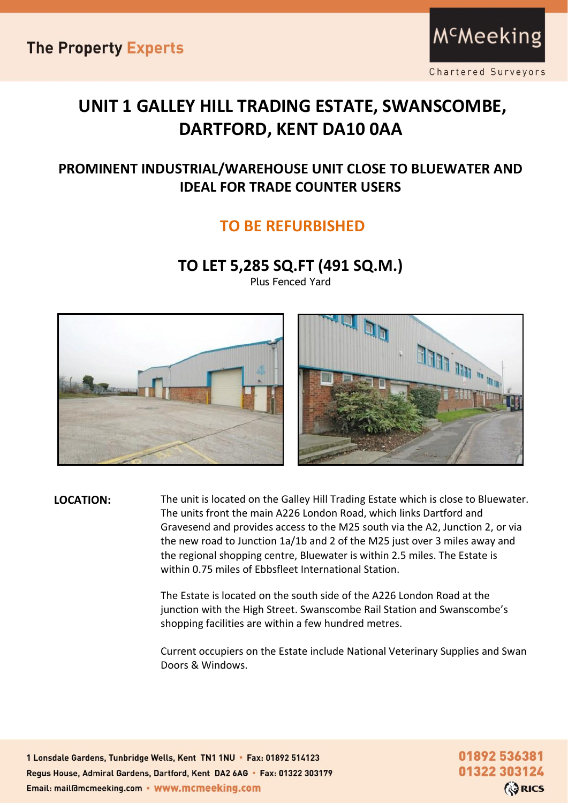**The Property Experts** 

## **UNIT 1 GALLEY HILL TRADING ESTATE, SWANSCOMBE, DARTFORD, KENT DA10 0AA**

#### **PROMINENT INDUSTRIAL/WAREHOUSE UNIT CLOSE TO BLUEWATER AND IDEAL FOR TRADE COUNTER USERS**

#### **TO BE REFURBISHED**

#### **TO LET 5,285 SQ.FT (491 SQ.M.)**

Plus Fenced Yard





**LOCATION:** The unit is located on the Galley Hill Trading Estate which is close to Bluewater. The units front the main A226 London Road, which links Dartford and Gravesend and provides access to the M25 south via the A2, Junction 2, or via the new road to Junction 1a/1b and 2 of the M25 just over 3 miles away and the regional shopping centre, Bluewater is within 2.5 miles. The Estate is within 0.75 miles of Ebbsfleet International Station.

> The Estate is located on the south side of the A226 London Road at the junction with the High Street. Swanscombe Rail Station and Swanscombe's shopping facilities are within a few hundred metres.

Current occupiers on the Estate include National Veterinary Supplies and Swan Doors & Windows.

1 Lonsdale Gardens, Tunbridge Wells, Kent TN1 1NU · Fax: 01892 514123 Regus House, Admiral Gardens, Dartford, Kent DA2 6AG · Fax: 01322 303179 Email: mail@mcmeeking.com • www.mcmeeking.com

01892 536381 01322 303124 **ORICS**